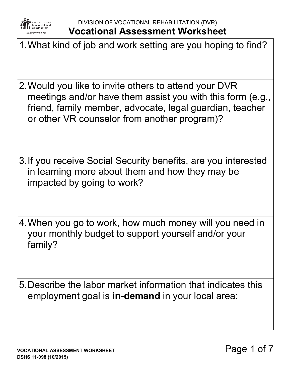

DIVISION OF VOCATIONAL REHABILITATION (DVR) **Vocational Assessment Worksheet**

- 1.What kind of job and work setting are you hoping to find?
- 2.Would you like to invite others to attend your DVR meetings and/or have them assist you with this form (e.g., friend, family member, advocate, legal guardian, teacher or other VR counselor from another program)?
- 3.If you receive Social Security benefits, are you interested in learning more about them and how they may be impacted by going to work?
- 4.When you go to work, how much money will you need in your monthly budget to support yourself and/or your family?
- 5.Describe the labor market information that indicates this employment goal is **in-demand** in your local area: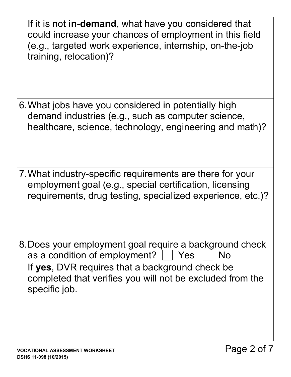If it is not **in-demand**, what have you considered that could increase your chances of employment in this field (e.g., targeted work experience, internship, on-the-job training, relocation)?

- 6.What jobs have you considered in potentially high demand industries (e.g., such as computer science, healthcare, science, technology, engineering and math)?
- 7.What industry-specific requirements are there for your employment goal (e.g., special certification, licensing requirements, drug testing, specialized experience, etc.)?
- 8.Does your employment goal require a background check as a condition of employment?  $\vert$   $\vert$  Yes  $\vert$   $\vert$  No If **yes**, DVR requires that a background check be completed that verifies you will not be excluded from the specific job.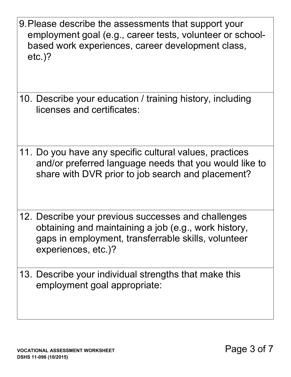- 9.Please describe the assessments that support your employment goal (e.g., career tests, volunteer or schoolbased work experiences, career development class, etc.)?
- 10. Describe your education / training history, including licenses and certificates:
- 11. Do you have any specific cultural values, practices and/or preferred language needs that you would like to share with DVR prior to job search and placement?
- 12. Describe your previous successes and challenges obtaining and maintaining a job (e.g., work history, gaps in employment, transferrable skills, volunteer experiences, etc.)?
- 13. Describe your individual strengths that make this employment goal appropriate: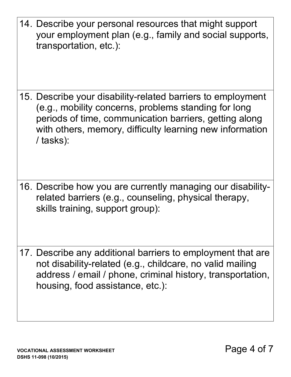14. Describe your personal resources that might support your employment plan (e.g., family and social supports, transportation, etc.):

- 15. Describe your disability-related barriers to employment (e.g., mobility concerns, problems standing for long periods of time, communication barriers, getting along with others, memory, difficulty learning new information / tasks):
- 16. Describe how you are currently managing our disabilityrelated barriers (e.g., counseling, physical therapy, skills training, support group):
- 17. Describe any additional barriers to employment that are not disability-related (e.g., childcare, no valid mailing address / email / phone, criminal history, transportation, housing, food assistance, etc.):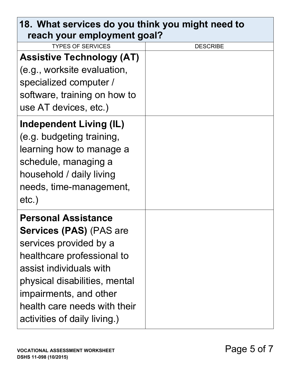| 18. What services do you think you might need to<br>reach your employment goal?                                                                                                                                                                                            |                 |
|----------------------------------------------------------------------------------------------------------------------------------------------------------------------------------------------------------------------------------------------------------------------------|-----------------|
| <b>TYPES OF SERVICES</b>                                                                                                                                                                                                                                                   | <b>DESCRIBE</b> |
| <b>Assistive Technology (AT)</b><br>(e.g., worksite evaluation,<br>specialized computer /<br>software, training on how to<br>use AT devices, etc.)                                                                                                                         |                 |
| <b>Independent Living (IL)</b><br>(e.g. budgeting training,<br>learning how to manage a<br>schedule, managing a<br>household / daily living<br>needs, time-management,<br>$etc.$ )                                                                                         |                 |
| <b>Personal Assistance</b><br><b>Services (PAS) (PAS are</b><br>services provided by a<br>healthcare professional to<br>assist individuals with<br>physical disabilities, mental<br>impairments, and other<br>health care needs with their<br>activities of daily living.) |                 |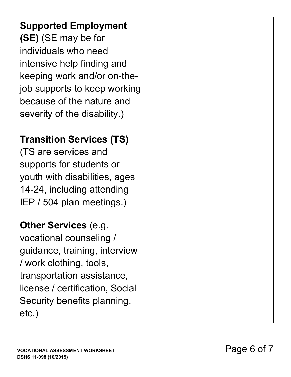| <b>Supported Employment</b><br>(SE) (SE may be for<br>individuals who need<br>intensive help finding and<br>keeping work and/or on-the-<br>job supports to keep working<br>because of the nature and<br>severity of the disability.) |  |
|--------------------------------------------------------------------------------------------------------------------------------------------------------------------------------------------------------------------------------------|--|
| <b>Transition Services (TS)</b><br>(TS are services and<br>supports for students or<br>youth with disabilities, ages<br>14-24, including attending<br>IEP / 504 plan meetings.)                                                      |  |
| <b>Other Services (e.g.</b><br>vocational counseling /<br>guidance, training, interview<br>/ work clothing, tools,<br>transportation assistance,<br>license / certification, Social<br>Security benefits planning,<br>$etc.$ )       |  |